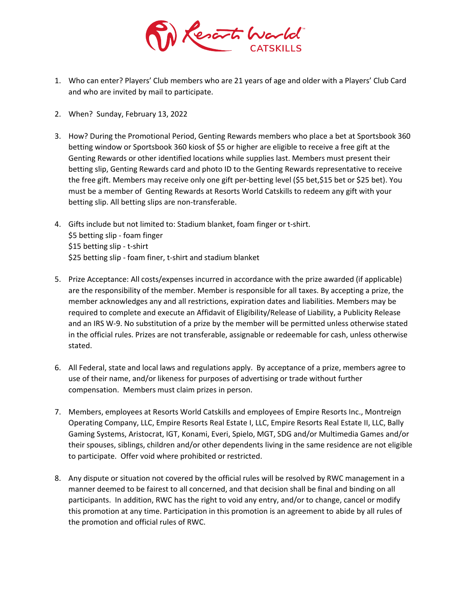

- 1. Who can enter? Players' Club members who are 21 years of age and older with a Players' Club Card and who are invited by mail to participate.
- 2. When? Sunday, February 13, 2022
- 3. How? During the Promotional Period, Genting Rewards members who place a bet at Sportsbook 360 betting window or Sportsbook 360 kiosk of \$5 or higher are eligible to receive a free gift at the Genting Rewards or other identified locations while supplies last. Members must present their betting slip, Genting Rewards card and photo ID to the Genting Rewards representative to receive the free gift. Members may receive only one gift per-betting level (\$5 bet,\$15 bet or \$25 bet). You must be a member of Genting Rewards at Resorts World Catskills to redeem any gift with your betting slip. All betting slips are non-transferable.
- 4. Gifts include but not limited to: Stadium blanket, foam finger or t-shirt. \$5 betting slip - foam finger \$15 betting slip - t-shirt \$25 betting slip - foam finer, t-shirt and stadium blanket
- 5. Prize Acceptance: All costs/expenses incurred in accordance with the prize awarded (if applicable) are the responsibility of the member. Member is responsible for all taxes. By accepting a prize, the member acknowledges any and all restrictions, expiration dates and liabilities. Members may be required to complete and execute an Affidavit of Eligibility/Release of Liability, a Publicity Release and an IRS W-9. No substitution of a prize by the member will be permitted unless otherwise stated in the official rules. Prizes are not transferable, assignable or redeemable for cash, unless otherwise stated.
- 6. All Federal, state and local laws and regulations apply. By acceptance of a prize, members agree to use of their name, and/or likeness for purposes of advertising or trade without further compensation. Members must claim prizes in person.
- 7. Members, employees at Resorts World Catskills and employees of Empire Resorts Inc., Montreign Operating Company, LLC, Empire Resorts Real Estate I, LLC, Empire Resorts Real Estate II, LLC, Bally Gaming Systems, Aristocrat, IGT, Konami, Everi, Spielo, MGT, SDG and/or Multimedia Games and/or their spouses, siblings, children and/or other dependents living in the same residence are not eligible to participate. Offer void where prohibited or restricted.
- 8. Any dispute or situation not covered by the official rules will be resolved by RWC management in a manner deemed to be fairest to all concerned, and that decision shall be final and binding on all participants. In addition, RWC has the right to void any entry, and/or to change, cancel or modify this promotion at any time. Participation in this promotion is an agreement to abide by all rules of the promotion and official rules of RWC.